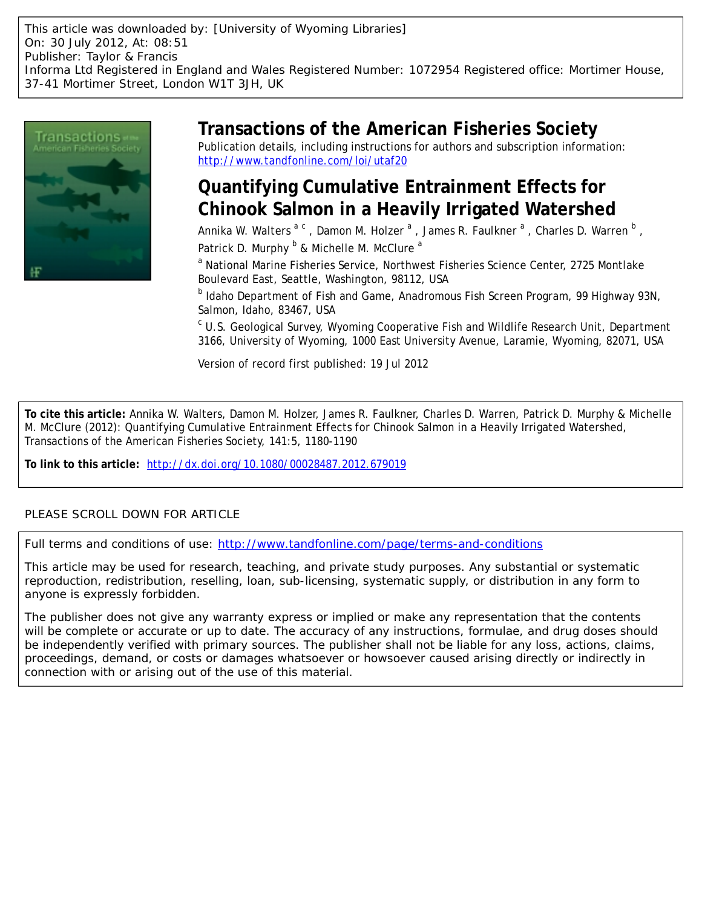This article was downloaded by: [University of Wyoming Libraries] On: 30 July 2012, At: 08:51 Publisher: Taylor & Francis Informa Ltd Registered in England and Wales Registered Number: 1072954 Registered office: Mortimer House, 37-41 Mortimer Street, London W1T 3JH, UK



## **Transactions of the American Fisheries Society**

Publication details, including instructions for authors and subscription information: <http://www.tandfonline.com/loi/utaf20>

# **Quantifying Cumulative Entrainment Effects for Chinook Salmon in a Heavily Irrigated Watershed**

Annika W. Walters <sup>a c</sup>, Damon M. Holzer <sup>a</sup>, James R. Faulkner <sup>a</sup>, Charles D. Warren <sup>b</sup>, Patrick D. Murphy  $^{\text{b}}$  & Michelle M. McClure  $^{\text{a}}$ 

<sup>a</sup> National Marine Fisheries Service, Northwest Fisheries Science Center, 2725 Montlake Boulevard East, Seattle, Washington, 98112, USA

<sup>b</sup> Idaho Department of Fish and Game, Anadromous Fish Screen Program, 99 Highway 93N, Salmon, Idaho, 83467, USA

<sup>c</sup> U.S. Geological Survey, Wyoming Cooperative Fish and Wildlife Research Unit, Department 3166, University of Wyoming, 1000 East University Avenue, Laramie, Wyoming, 82071, USA

Version of record first published: 19 Jul 2012

**To cite this article:** Annika W. Walters, Damon M. Holzer, James R. Faulkner, Charles D. Warren, Patrick D. Murphy & Michelle M. McClure (2012): Quantifying Cumulative Entrainment Effects for Chinook Salmon in a Heavily Irrigated Watershed, Transactions of the American Fisheries Society, 141:5, 1180-1190

**To link to this article:** <http://dx.doi.org/10.1080/00028487.2012.679019>

## PLEASE SCROLL DOWN FOR ARTICLE

Full terms and conditions of use:<http://www.tandfonline.com/page/terms-and-conditions>

This article may be used for research, teaching, and private study purposes. Any substantial or systematic reproduction, redistribution, reselling, loan, sub-licensing, systematic supply, or distribution in any form to anyone is expressly forbidden.

The publisher does not give any warranty express or implied or make any representation that the contents will be complete or accurate or up to date. The accuracy of any instructions, formulae, and drug doses should be independently verified with primary sources. The publisher shall not be liable for any loss, actions, claims, proceedings, demand, or costs or damages whatsoever or howsoever caused arising directly or indirectly in connection with or arising out of the use of this material.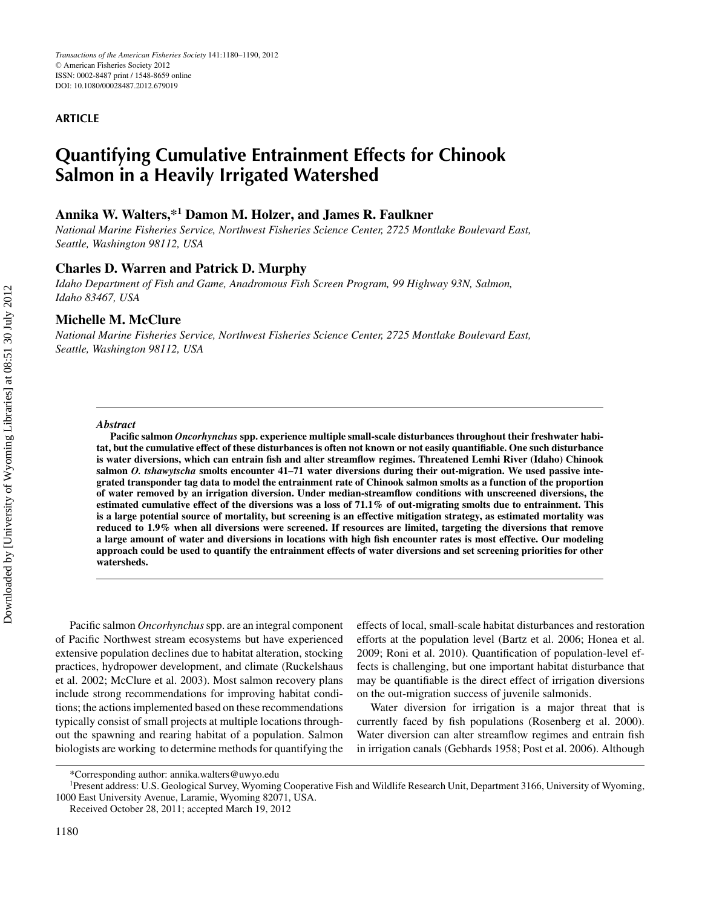### **ARTICLE**

## **Quantifying Cumulative Entrainment Effects for Chinook Salmon in a Heavily Irrigated Watershed**

## **Annika W. Walters,\*1 Damon M. Holzer, and James R. Faulkner**

*National Marine Fisheries Service, Northwest Fisheries Science Center, 2725 Montlake Boulevard East, Seattle, Washington 98112, USA*

## **Charles D. Warren and Patrick D. Murphy**

*Idaho Department of Fish and Game, Anadromous Fish Screen Program, 99 Highway 93N, Salmon, Idaho 83467, USA*

### **Michelle M. McClure**

*National Marine Fisheries Service, Northwest Fisheries Science Center, 2725 Montlake Boulevard East, Seattle, Washington 98112, USA*

#### *Abstract*

**Pacific salmon** *Oncorhynchus* **spp. experience multiple small-scale disturbances throughout their freshwater habitat, but the cumulative effect of these disturbances is often not known or not easily quantifiable. One such disturbance is water diversions, which can entrain fish and alter streamflow regimes. Threatened Lemhi River (Idaho) Chinook salmon** *O. tshawytscha* **smolts encounter 41–71 water diversions during their out-migration. We used passive integrated transponder tag data to model the entrainment rate of Chinook salmon smolts as a function of the proportion of water removed by an irrigation diversion. Under median-streamflow conditions with unscreened diversions, the estimated cumulative effect of the diversions was a loss of 71.1% of out-migrating smolts due to entrainment. This is a large potential source of mortality, but screening is an effective mitigation strategy, as estimated mortality was reduced to 1.9% when all diversions were screened. If resources are limited, targeting the diversions that remove a large amount of water and diversions in locations with high fish encounter rates is most effective. Our modeling approach could be used to quantify the entrainment effects of water diversions and set screening priorities for other watersheds.**

Pacific salmon *Oncorhynchus*spp. are an integral component of Pacific Northwest stream ecosystems but have experienced extensive population declines due to habitat alteration, stocking practices, hydropower development, and climate (Ruckelshaus et al. 2002; McClure et al. 2003). Most salmon recovery plans include strong recommendations for improving habitat conditions; the actions implemented based on these recommendations typically consist of small projects at multiple locations throughout the spawning and rearing habitat of a population. Salmon biologists are working to determine methods for quantifying the

effects of local, small-scale habitat disturbances and restoration efforts at the population level (Bartz et al. 2006; Honea et al. 2009; Roni et al. 2010). Quantification of population-level effects is challenging, but one important habitat disturbance that may be quantifiable is the direct effect of irrigation diversions on the out-migration success of juvenile salmonids.

Water diversion for irrigation is a major threat that is currently faced by fish populations (Rosenberg et al. 2000). Water diversion can alter streamflow regimes and entrain fish in irrigation canals (Gebhards 1958; Post et al. 2006). Although

<sup>\*</sup>Corresponding author: annika.walters@uwyo.edu

<sup>&</sup>lt;sup>1</sup>Present address: U.S. Geological Survey, Wyoming Cooperative Fish and Wildlife Research Unit, Department 3166, University of Wyoming, 1000 East University Avenue, Laramie, Wyoming 82071, USA.

Received October 28, 2011; accepted March 19, 2012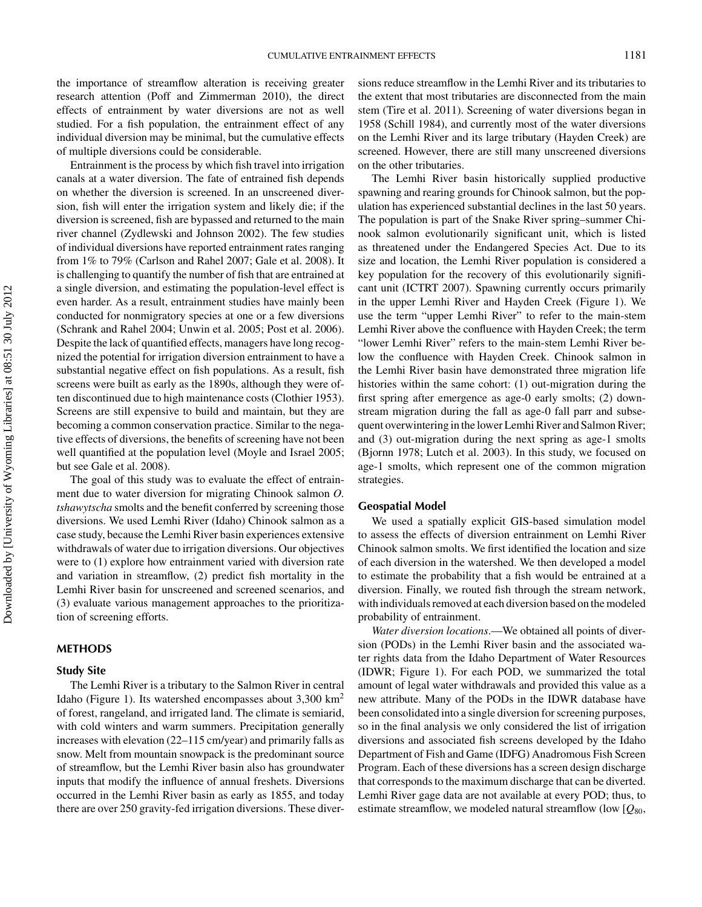the importance of streamflow alteration is receiving greater research attention (Poff and Zimmerman 2010), the direct effects of entrainment by water diversions are not as well studied. For a fish population, the entrainment effect of any individual diversion may be minimal, but the cumulative effects of multiple diversions could be considerable.

Entrainment is the process by which fish travel into irrigation canals at a water diversion. The fate of entrained fish depends on whether the diversion is screened. In an unscreened diversion, fish will enter the irrigation system and likely die; if the diversion is screened, fish are bypassed and returned to the main river channel (Zydlewski and Johnson 2002). The few studies of individual diversions have reported entrainment rates ranging from 1% to 79% (Carlson and Rahel 2007; Gale et al. 2008). It is challenging to quantify the number of fish that are entrained at a single diversion, and estimating the population-level effect is even harder. As a result, entrainment studies have mainly been conducted for nonmigratory species at one or a few diversions (Schrank and Rahel 2004; Unwin et al. 2005; Post et al. 2006). Despite the lack of quantified effects, managers have long recognized the potential for irrigation diversion entrainment to have a substantial negative effect on fish populations. As a result, fish screens were built as early as the 1890s, although they were often discontinued due to high maintenance costs (Clothier 1953). Screens are still expensive to build and maintain, but they are becoming a common conservation practice. Similar to the negative effects of diversions, the benefits of screening have not been well quantified at the population level (Moyle and Israel 2005; but see Gale et al. 2008).

The goal of this study was to evaluate the effect of entrainment due to water diversion for migrating Chinook salmon *O. tshawytscha* smolts and the benefit conferred by screening those diversions. We used Lemhi River (Idaho) Chinook salmon as a case study, because the Lemhi River basin experiences extensive withdrawals of water due to irrigation diversions. Our objectives were to (1) explore how entrainment varied with diversion rate and variation in streamflow, (2) predict fish mortality in the Lemhi River basin for unscreened and screened scenarios, and (3) evaluate various management approaches to the prioritization of screening efforts.

### **METHODS**

#### **Study Site**

The Lemhi River is a tributary to the Salmon River in central Idaho (Figure 1). Its watershed encompasses about 3,300 km<sup>2</sup> of forest, rangeland, and irrigated land. The climate is semiarid, with cold winters and warm summers. Precipitation generally increases with elevation (22–115 cm/year) and primarily falls as snow. Melt from mountain snowpack is the predominant source of streamflow, but the Lemhi River basin also has groundwater inputs that modify the influence of annual freshets. Diversions occurred in the Lemhi River basin as early as 1855, and today there are over 250 gravity-fed irrigation diversions. These diversions reduce streamflow in the Lemhi River and its tributaries to the extent that most tributaries are disconnected from the main stem (Tire et al. 2011). Screening of water diversions began in 1958 (Schill 1984), and currently most of the water diversions on the Lemhi River and its large tributary (Hayden Creek) are screened. However, there are still many unscreened diversions on the other tributaries.

The Lemhi River basin historically supplied productive spawning and rearing grounds for Chinook salmon, but the population has experienced substantial declines in the last 50 years. The population is part of the Snake River spring–summer Chinook salmon evolutionarily significant unit, which is listed as threatened under the Endangered Species Act. Due to its size and location, the Lemhi River population is considered a key population for the recovery of this evolutionarily significant unit (ICTRT 2007). Spawning currently occurs primarily in the upper Lemhi River and Hayden Creek (Figure 1). We use the term "upper Lemhi River" to refer to the main-stem Lemhi River above the confluence with Hayden Creek; the term "lower Lemhi River" refers to the main-stem Lemhi River below the confluence with Hayden Creek. Chinook salmon in the Lemhi River basin have demonstrated three migration life histories within the same cohort: (1) out-migration during the first spring after emergence as age-0 early smolts; (2) downstream migration during the fall as age-0 fall parr and subsequent overwintering in the lower Lemhi River and Salmon River; and (3) out-migration during the next spring as age-1 smolts (Bjornn 1978; Lutch et al. 2003). In this study, we focused on age-1 smolts, which represent one of the common migration strategies.

#### **Geospatial Model**

We used a spatially explicit GIS-based simulation model to assess the effects of diversion entrainment on Lemhi River Chinook salmon smolts. We first identified the location and size of each diversion in the watershed. We then developed a model to estimate the probability that a fish would be entrained at a diversion. Finally, we routed fish through the stream network, with individuals removed at each diversion based on the modeled probability of entrainment.

*Water diversion locations*.—We obtained all points of diversion (PODs) in the Lemhi River basin and the associated water rights data from the Idaho Department of Water Resources (IDWR; Figure 1). For each POD, we summarized the total amount of legal water withdrawals and provided this value as a new attribute. Many of the PODs in the IDWR database have been consolidated into a single diversion for screening purposes, so in the final analysis we only considered the list of irrigation diversions and associated fish screens developed by the Idaho Department of Fish and Game (IDFG) Anadromous Fish Screen Program. Each of these diversions has a screen design discharge that corresponds to the maximum discharge that can be diverted. Lemhi River gage data are not available at every POD; thus, to estimate streamflow, we modeled natural streamflow (low [*Q*80,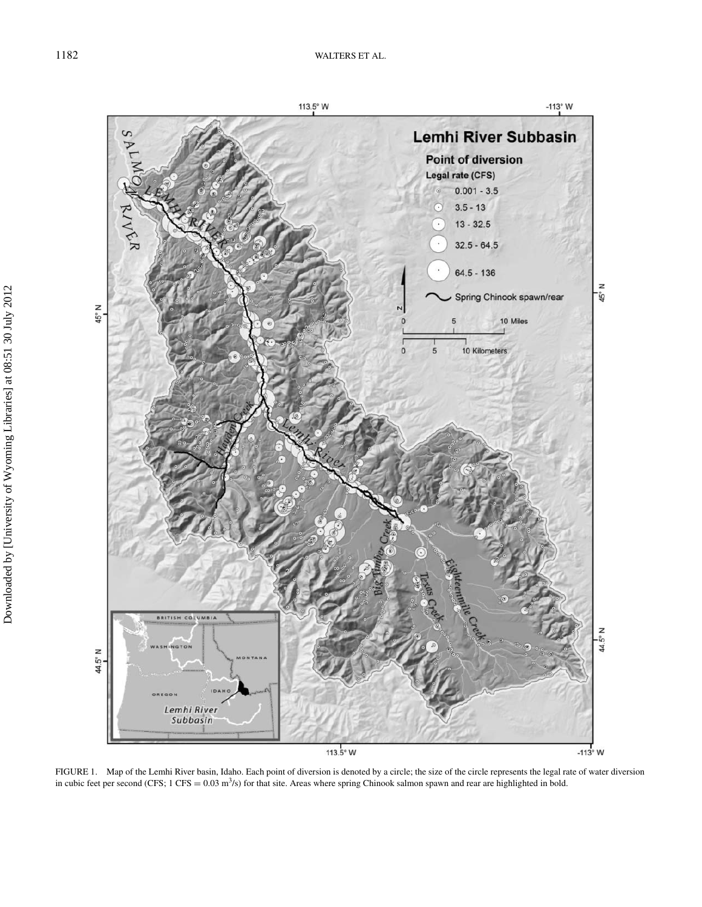

FIGURE 1. Map of the Lemhi River basin, Idaho. Each point of diversion is denoted by a circle; the size of the circle represents the legal rate of water diversion in cubic feet per second (CFS;  $1 \text{ CFS} = 0.03 \text{ m}^3/\text{s}$ ) for that site. Areas where spring Chinook salmon spawn and rear are highlighted in bold.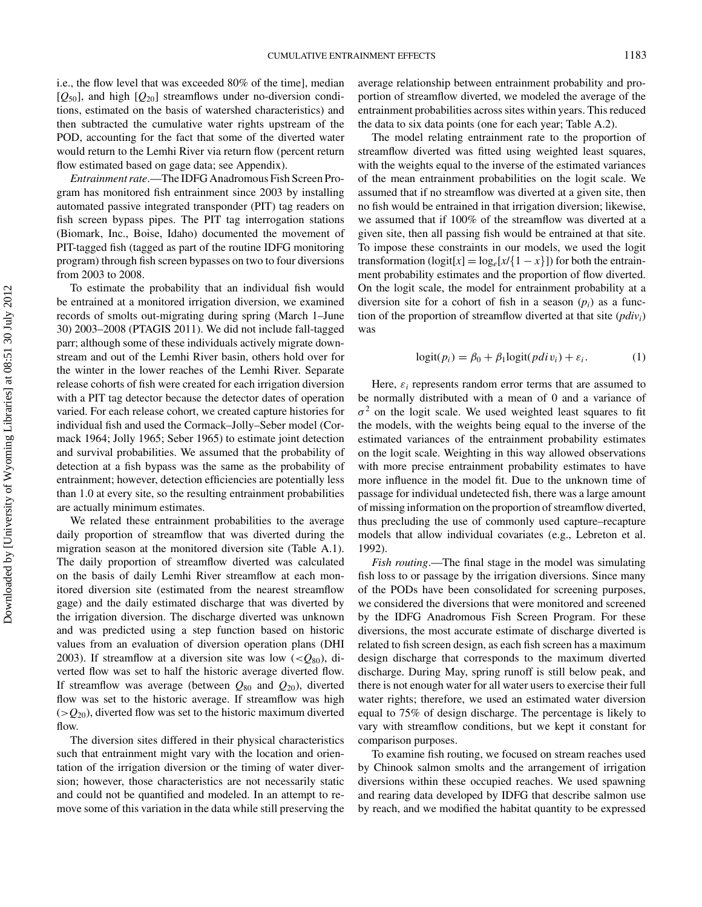i.e., the flow level that was exceeded 80% of the time], median [*Q*50], and high [*Q*20] streamflows under no-diversion conditions, estimated on the basis of watershed characteristics) and then subtracted the cumulative water rights upstream of the POD, accounting for the fact that some of the diverted water would return to the Lemhi River via return flow (percent return flow estimated based on gage data; see Appendix).

*Entrainment rate*.—The IDFG Anadromous Fish Screen Program has monitored fish entrainment since 2003 by installing automated passive integrated transponder (PIT) tag readers on fish screen bypass pipes. The PIT tag interrogation stations (Biomark, Inc., Boise, Idaho) documented the movement of PIT-tagged fish (tagged as part of the routine IDFG monitoring program) through fish screen bypasses on two to four diversions from 2003 to 2008.

To estimate the probability that an individual fish would be entrained at a monitored irrigation diversion, we examined records of smolts out-migrating during spring (March 1–June 30) 2003–2008 (PTAGIS 2011). We did not include fall-tagged parr; although some of these individuals actively migrate downstream and out of the Lemhi River basin, others hold over for the winter in the lower reaches of the Lemhi River. Separate release cohorts of fish were created for each irrigation diversion with a PIT tag detector because the detector dates of operation varied. For each release cohort, we created capture histories for individual fish and used the Cormack–Jolly–Seber model (Cormack 1964; Jolly 1965; Seber 1965) to estimate joint detection and survival probabilities. We assumed that the probability of detection at a fish bypass was the same as the probability of entrainment; however, detection efficiencies are potentially less than 1.0 at every site, so the resulting entrainment probabilities are actually minimum estimates.

We related these entrainment probabilities to the average daily proportion of streamflow that was diverted during the migration season at the monitored diversion site (Table A.1). The daily proportion of streamflow diverted was calculated on the basis of daily Lemhi River streamflow at each monitored diversion site (estimated from the nearest streamflow gage) and the daily estimated discharge that was diverted by the irrigation diversion. The discharge diverted was unknown and was predicted using a step function based on historic values from an evaluation of diversion operation plans (DHI 2003). If streamflow at a diversion site was low  $(*Q*<sub>80</sub>)$ , diverted flow was set to half the historic average diverted flow. If streamflow was average (between  $Q_{80}$  and  $Q_{20}$ ), diverted flow was set to the historic average. If streamflow was high  $(>Q_{20})$ , diverted flow was set to the historic maximum diverted flow.

The diversion sites differed in their physical characteristics such that entrainment might vary with the location and orientation of the irrigation diversion or the timing of water diversion; however, those characteristics are not necessarily static and could not be quantified and modeled. In an attempt to remove some of this variation in the data while still preserving the average relationship between entrainment probability and proportion of streamflow diverted, we modeled the average of the entrainment probabilities across sites within years. This reduced the data to six data points (one for each year; Table A.2).

The model relating entrainment rate to the proportion of streamflow diverted was fitted using weighted least squares, with the weights equal to the inverse of the estimated variances of the mean entrainment probabilities on the logit scale. We assumed that if no streamflow was diverted at a given site, then no fish would be entrained in that irrigation diversion; likewise, we assumed that if 100% of the streamflow was diverted at a given site, then all passing fish would be entrained at that site. To impose these constraints in our models, we used the logit transformation (logit[x] =  $\log_e[x/\{1-x\}]$ ) for both the entrainment probability estimates and the proportion of flow diverted. On the logit scale, the model for entrainment probability at a diversion site for a cohort of fish in a season (*pi*) as a function of the proportion of streamflow diverted at that site (*pdivi*) was

$$
logit(p_i) = \beta_0 + \beta_1 logit(pdiv_i) + \varepsilon_i.
$$
 (1)

Here,  $\varepsilon_i$  represents random error terms that are assumed to be normally distributed with a mean of 0 and a variance of  $\sigma^2$  on the logit scale. We used weighted least squares to fit the models, with the weights being equal to the inverse of the estimated variances of the entrainment probability estimates on the logit scale. Weighting in this way allowed observations with more precise entrainment probability estimates to have more influence in the model fit. Due to the unknown time of passage for individual undetected fish, there was a large amount of missing information on the proportion of streamflow diverted, thus precluding the use of commonly used capture–recapture models that allow individual covariates (e.g., Lebreton et al. 1992).

*Fish routing*.—The final stage in the model was simulating fish loss to or passage by the irrigation diversions. Since many of the PODs have been consolidated for screening purposes, we considered the diversions that were monitored and screened by the IDFG Anadromous Fish Screen Program. For these diversions, the most accurate estimate of discharge diverted is related to fish screen design, as each fish screen has a maximum design discharge that corresponds to the maximum diverted discharge. During May, spring runoff is still below peak, and there is not enough water for all water users to exercise their full water rights; therefore, we used an estimated water diversion equal to 75% of design discharge. The percentage is likely to vary with streamflow conditions, but we kept it constant for comparison purposes.

To examine fish routing, we focused on stream reaches used by Chinook salmon smolts and the arrangement of irrigation diversions within these occupied reaches. We used spawning and rearing data developed by IDFG that describe salmon use by reach, and we modified the habitat quantity to be expressed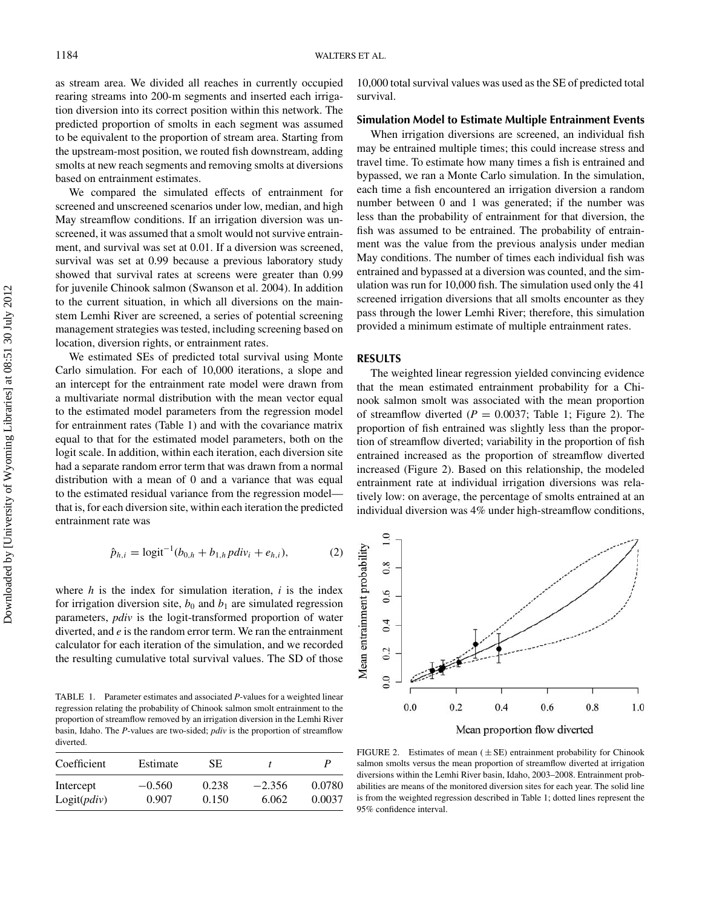as stream area. We divided all reaches in currently occupied rearing streams into 200-m segments and inserted each irrigation diversion into its correct position within this network. The predicted proportion of smolts in each segment was assumed to be equivalent to the proportion of stream area. Starting from the upstream-most position, we routed fish downstream, adding smolts at new reach segments and removing smolts at diversions based on entrainment estimates.

We compared the simulated effects of entrainment for screened and unscreened scenarios under low, median, and high May streamflow conditions. If an irrigation diversion was unscreened, it was assumed that a smolt would not survive entrainment, and survival was set at 0.01. If a diversion was screened, survival was set at 0.99 because a previous laboratory study showed that survival rates at screens were greater than 0.99 for juvenile Chinook salmon (Swanson et al. 2004). In addition to the current situation, in which all diversions on the mainstem Lemhi River are screened, a series of potential screening management strategies was tested, including screening based on location, diversion rights, or entrainment rates.

We estimated SEs of predicted total survival using Monte Carlo simulation. For each of 10,000 iterations, a slope and an intercept for the entrainment rate model were drawn from a multivariate normal distribution with the mean vector equal to the estimated model parameters from the regression model for entrainment rates (Table 1) and with the covariance matrix equal to that for the estimated model parameters, both on the logit scale. In addition, within each iteration, each diversion site had a separate random error term that was drawn from a normal distribution with a mean of 0 and a variance that was equal to the estimated residual variance from the regression model that is, for each diversion site, within each iteration the predicted entrainment rate was

$$
\hat{p}_{h,i} = \logit^{-1}(b_{0,h} + b_{1,h} \, p \, div_i + e_{h,i}),\tag{2}
$$

where *h* is the index for simulation iteration, *i* is the index for irrigation diversion site,  $b_0$  and  $b_1$  are simulated regression parameters, *pdiv* is the logit-transformed proportion of water diverted, and *e* is the random error term. We ran the entrainment calculator for each iteration of the simulation, and we recorded the resulting cumulative total survival values. The SD of those

TABLE 1. Parameter estimates and associated *P*-values for a weighted linear regression relating the probability of Chinook salmon smolt entrainment to the proportion of streamflow removed by an irrigation diversion in the Lemhi River basin, Idaho. The *P*-values are two-sided; *pdiv* is the proportion of streamflow diverted.

| Coefficient | Estimate | SE    |          |        |
|-------------|----------|-------|----------|--------|
| Intercept   | $-0.560$ | 0.238 | $-2.356$ | 0.0780 |
| Logit(pdiv) | 0.907    | 0.150 | 6.062    | 0.0037 |

10,000 total survival values was used as the SE of predicted total survival.

#### **Simulation Model to Estimate Multiple Entrainment Events**

When irrigation diversions are screened, an individual fish may be entrained multiple times; this could increase stress and travel time. To estimate how many times a fish is entrained and bypassed, we ran a Monte Carlo simulation. In the simulation, each time a fish encountered an irrigation diversion a random number between 0 and 1 was generated; if the number was less than the probability of entrainment for that diversion, the fish was assumed to be entrained. The probability of entrainment was the value from the previous analysis under median May conditions. The number of times each individual fish was entrained and bypassed at a diversion was counted, and the simulation was run for 10,000 fish. The simulation used only the 41 screened irrigation diversions that all smolts encounter as they pass through the lower Lemhi River; therefore, this simulation provided a minimum estimate of multiple entrainment rates.

#### **RESULTS**

The weighted linear regression yielded convincing evidence that the mean estimated entrainment probability for a Chinook salmon smolt was associated with the mean proportion of streamflow diverted  $(P = 0.0037;$  Table 1; Figure 2). The proportion of fish entrained was slightly less than the proportion of streamflow diverted; variability in the proportion of fish entrained increased as the proportion of streamflow diverted increased (Figure 2). Based on this relationship, the modeled entrainment rate at individual irrigation diversions was relatively low: on average, the percentage of smolts entrained at an individual diversion was 4% under high-streamflow conditions,



FIGURE 2. Estimates of mean  $(\pm SE)$  entrainment probability for Chinook salmon smolts versus the mean proportion of streamflow diverted at irrigation diversions within the Lemhi River basin, Idaho, 2003–2008. Entrainment probabilities are means of the monitored diversion sites for each year. The solid line is from the weighted regression described in Table 1; dotted lines represent the 95% confidence interval.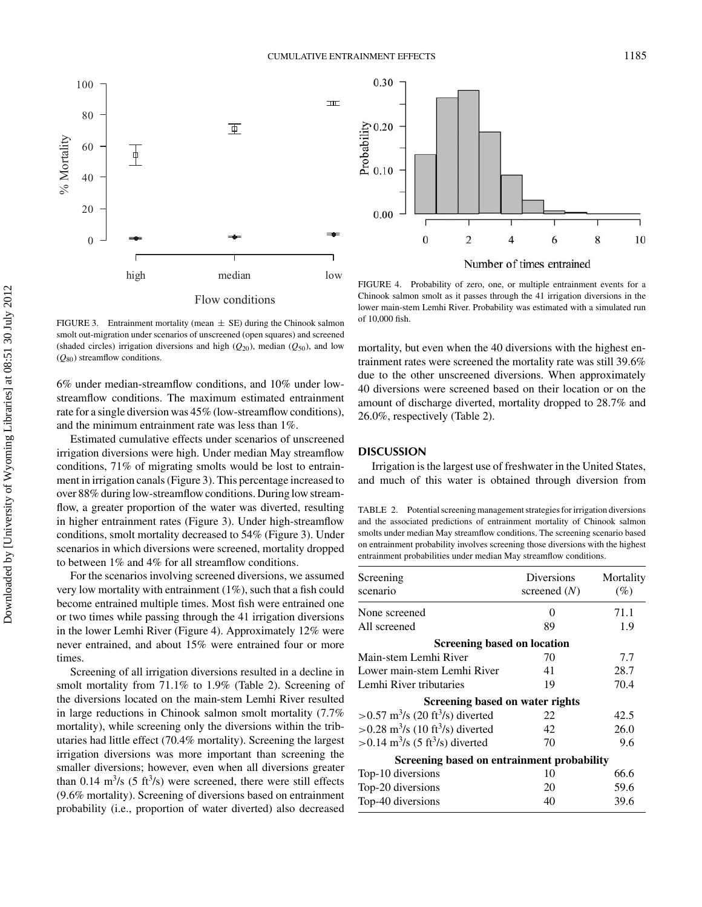

FIGURE 3. Entrainment mortality (mean  $\pm$  SE) during the Chinook salmon smolt out-migration under scenarios of unscreened (open squares) and screened (shaded circles) irrigation diversions and high  $(Q_{20})$ , median  $(Q_{50})$ , and low (*Q*80) streamflow conditions.

6% under median-streamflow conditions, and 10% under lowstreamflow conditions. The maximum estimated entrainment rate for a single diversion was 45% (low-streamflow conditions), and the minimum entrainment rate was less than 1%.

Estimated cumulative effects under scenarios of unscreened irrigation diversions were high. Under median May streamflow conditions, 71% of migrating smolts would be lost to entrainment in irrigation canals (Figure 3). This percentage increased to over 88% during low-streamflow conditions. During low streamflow, a greater proportion of the water was diverted, resulting in higher entrainment rates (Figure 3). Under high-streamflow conditions, smolt mortality decreased to 54% (Figure 3). Under scenarios in which diversions were screened, mortality dropped to between 1% and 4% for all streamflow conditions.

For the scenarios involving screened diversions, we assumed very low mortality with entrainment (1%), such that a fish could become entrained multiple times. Most fish were entrained one or two times while passing through the 41 irrigation diversions in the lower Lemhi River (Figure 4). Approximately 12% were never entrained, and about 15% were entrained four or more times.

Screening of all irrigation diversions resulted in a decline in smolt mortality from 71.1% to 1.9% (Table 2). Screening of the diversions located on the main-stem Lemhi River resulted in large reductions in Chinook salmon smolt mortality (7.7% mortality), while screening only the diversions within the tributaries had little effect (70.4% mortality). Screening the largest irrigation diversions was more important than screening the smaller diversions; however, even when all diversions greater than  $0.14 \text{ m}^3/\text{s}$  (5 ft<sup>3</sup>/s) were screened, there were still effects (9.6% mortality). Screening of diversions based on entrainment probability (i.e., proportion of water diverted) also decreased



Number of times entrained

FIGURE 4. Probability of zero, one, or multiple entrainment events for a Chinook salmon smolt as it passes through the 41 irrigation diversions in the lower main-stem Lemhi River. Probability was estimated with a simulated run of 10,000 fish.

mortality, but even when the 40 diversions with the highest entrainment rates were screened the mortality rate was still 39.6% due to the other unscreened diversions. When approximately 40 diversions were screened based on their location or on the amount of discharge diverted, mortality dropped to 28.7% and 26.0%, respectively (Table 2).

### **DISCUSSION**

Irrigation is the largest use of freshwater in the United States, and much of this water is obtained through diversion from

TABLE 2. Potential screening management strategies for irrigation diversions and the associated predictions of entrainment mortality of Chinook salmon smolts under median May streamflow conditions. The screening scenario based on entrainment probability involves screening those diversions with the highest entrainment probabilities under median May streamflow conditions.

| Screening<br>scenario                                       | Diversions<br>screened $(N)$ | Mortality<br>(%) |
|-------------------------------------------------------------|------------------------------|------------------|
|                                                             |                              |                  |
| None screened                                               | 0                            | 71.1             |
| All screened                                                | 89                           | 1.9              |
| <b>Screening based on location</b>                          |                              |                  |
| Main-stem Lemhi River                                       | 70                           | 7.7              |
| Lower main-stem Lemhi River                                 | 41                           | 28.7             |
| Lemhi River tributaries                                     | 19                           | 70.4             |
| Screening based on water rights                             |                              |                  |
| $> 0.57$ m <sup>3</sup> /s (20 ft <sup>3</sup> /s) diverted | 22                           | 42.5             |
| $> 0.28$ m <sup>3</sup> /s (10 ft <sup>3</sup> /s) diverted | 42                           | 26.0             |
| $> 0.14$ m <sup>3</sup> /s (5 ft <sup>3</sup> /s) diverted  | 70                           | 9.6              |
| Screening based on entrainment probability                  |                              |                  |
| Top-10 diversions                                           | 10                           | 66.6             |
| Top-20 diversions                                           | 20                           | 59.6             |
| Top-40 diversions                                           | 40                           | 39.6             |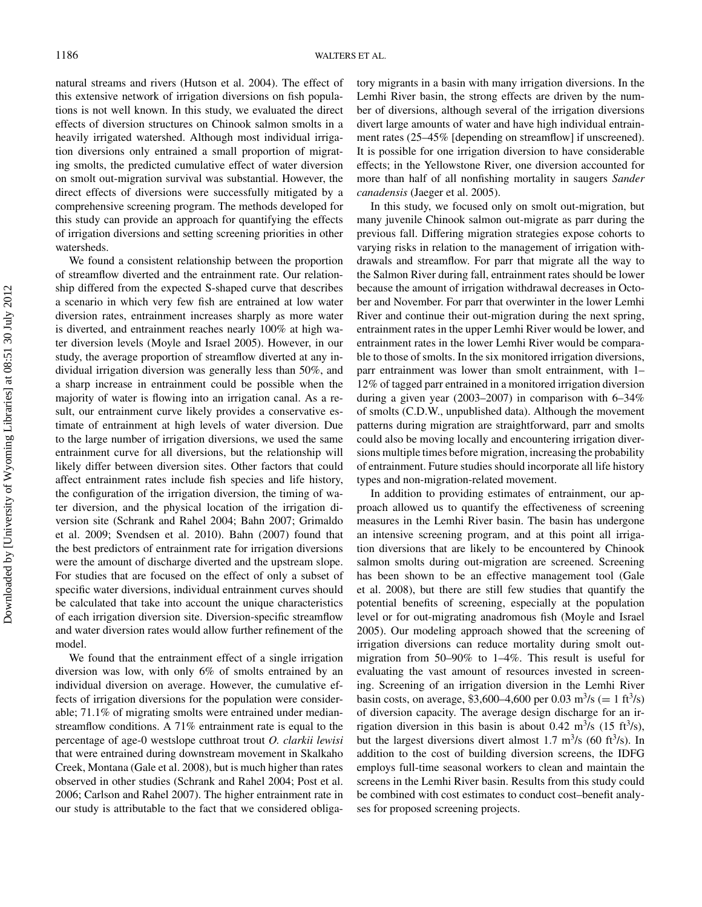natural streams and rivers (Hutson et al. 2004). The effect of this extensive network of irrigation diversions on fish populations is not well known. In this study, we evaluated the direct effects of diversion structures on Chinook salmon smolts in a heavily irrigated watershed. Although most individual irrigation diversions only entrained a small proportion of migrating smolts, the predicted cumulative effect of water diversion on smolt out-migration survival was substantial. However, the direct effects of diversions were successfully mitigated by a comprehensive screening program. The methods developed for this study can provide an approach for quantifying the effects of irrigation diversions and setting screening priorities in other watersheds.

We found a consistent relationship between the proportion of streamflow diverted and the entrainment rate. Our relationship differed from the expected S-shaped curve that describes a scenario in which very few fish are entrained at low water diversion rates, entrainment increases sharply as more water is diverted, and entrainment reaches nearly 100% at high water diversion levels (Moyle and Israel 2005). However, in our study, the average proportion of streamflow diverted at any individual irrigation diversion was generally less than 50%, and a sharp increase in entrainment could be possible when the majority of water is flowing into an irrigation canal. As a result, our entrainment curve likely provides a conservative estimate of entrainment at high levels of water diversion. Due to the large number of irrigation diversions, we used the same entrainment curve for all diversions, but the relationship will likely differ between diversion sites. Other factors that could affect entrainment rates include fish species and life history, the configuration of the irrigation diversion, the timing of water diversion, and the physical location of the irrigation diversion site (Schrank and Rahel 2004; Bahn 2007; Grimaldo et al. 2009; Svendsen et al. 2010). Bahn (2007) found that the best predictors of entrainment rate for irrigation diversions were the amount of discharge diverted and the upstream slope. For studies that are focused on the effect of only a subset of specific water diversions, individual entrainment curves should be calculated that take into account the unique characteristics of each irrigation diversion site. Diversion-specific streamflow and water diversion rates would allow further refinement of the model.

We found that the entrainment effect of a single irrigation diversion was low, with only 6% of smolts entrained by an individual diversion on average. However, the cumulative effects of irrigation diversions for the population were considerable; 71.1% of migrating smolts were entrained under medianstreamflow conditions. A 71% entrainment rate is equal to the percentage of age-0 westslope cutthroat trout *O. clarkii lewisi* that were entrained during downstream movement in Skalkaho Creek, Montana (Gale et al. 2008), but is much higher than rates observed in other studies (Schrank and Rahel 2004; Post et al. 2006; Carlson and Rahel 2007). The higher entrainment rate in our study is attributable to the fact that we considered obligatory migrants in a basin with many irrigation diversions. In the Lemhi River basin, the strong effects are driven by the number of diversions, although several of the irrigation diversions divert large amounts of water and have high individual entrainment rates (25–45% [depending on streamflow] if unscreened). It is possible for one irrigation diversion to have considerable effects; in the Yellowstone River, one diversion accounted for more than half of all nonfishing mortality in saugers *Sander canadensis* (Jaeger et al. 2005).

In this study, we focused only on smolt out-migration, but many juvenile Chinook salmon out-migrate as parr during the previous fall. Differing migration strategies expose cohorts to varying risks in relation to the management of irrigation withdrawals and streamflow. For parr that migrate all the way to the Salmon River during fall, entrainment rates should be lower because the amount of irrigation withdrawal decreases in October and November. For parr that overwinter in the lower Lemhi River and continue their out-migration during the next spring, entrainment rates in the upper Lemhi River would be lower, and entrainment rates in the lower Lemhi River would be comparable to those of smolts. In the six monitored irrigation diversions, parr entrainment was lower than smolt entrainment, with 1– 12% of tagged parr entrained in a monitored irrigation diversion during a given year (2003–2007) in comparison with 6–34% of smolts (C.D.W., unpublished data). Although the movement patterns during migration are straightforward, parr and smolts could also be moving locally and encountering irrigation diversions multiple times before migration, increasing the probability of entrainment. Future studies should incorporate all life history types and non-migration-related movement.

In addition to providing estimates of entrainment, our approach allowed us to quantify the effectiveness of screening measures in the Lemhi River basin. The basin has undergone an intensive screening program, and at this point all irrigation diversions that are likely to be encountered by Chinook salmon smolts during out-migration are screened. Screening has been shown to be an effective management tool (Gale et al. 2008), but there are still few studies that quantify the potential benefits of screening, especially at the population level or for out-migrating anadromous fish (Moyle and Israel 2005). Our modeling approach showed that the screening of irrigation diversions can reduce mortality during smolt outmigration from 50–90% to 1–4%. This result is useful for evaluating the vast amount of resources invested in screening. Screening of an irrigation diversion in the Lemhi River basin costs, on average, \$3,600–4,600 per 0.03 m<sup>3</sup>/s (= 1 ft<sup>3</sup>/s) of diversion capacity. The average design discharge for an irrigation diversion in this basin is about 0.42 m<sup>3</sup>/s (15 ft<sup>3</sup>/s), but the largest diversions divert almost 1.7  $\text{m}^3\text{/s}$  (60 ft<sup>3</sup>/s). In addition to the cost of building diversion screens, the IDFG employs full-time seasonal workers to clean and maintain the screens in the Lemhi River basin. Results from this study could be combined with cost estimates to conduct cost–benefit analyses for proposed screening projects.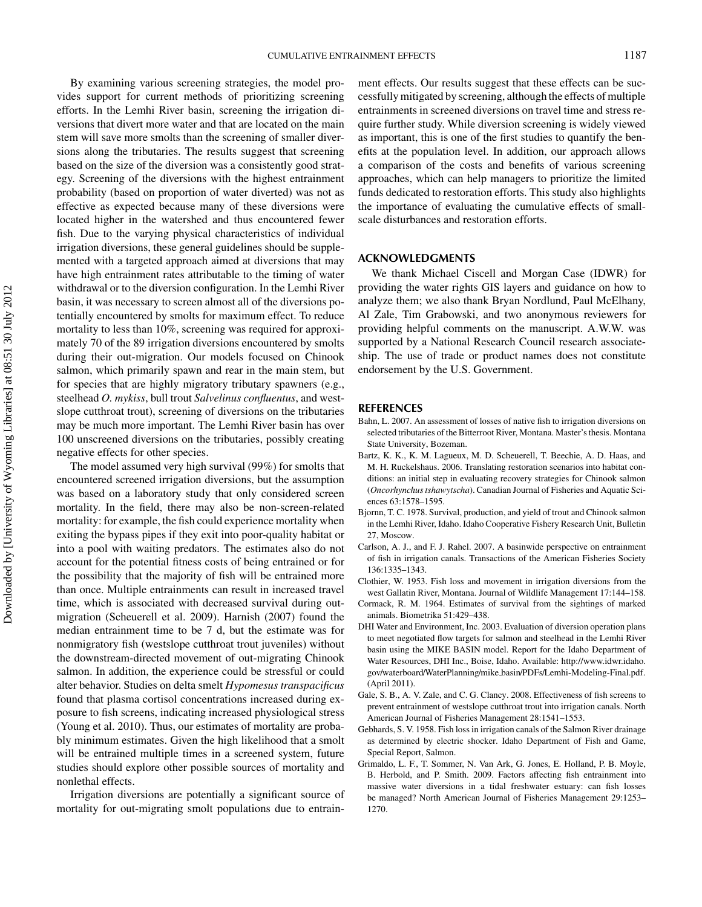By examining various screening strategies, the model provides support for current methods of prioritizing screening efforts. In the Lemhi River basin, screening the irrigation diversions that divert more water and that are located on the main stem will save more smolts than the screening of smaller diversions along the tributaries. The results suggest that screening based on the size of the diversion was a consistently good strategy. Screening of the diversions with the highest entrainment probability (based on proportion of water diverted) was not as effective as expected because many of these diversions were located higher in the watershed and thus encountered fewer fish. Due to the varying physical characteristics of individual irrigation diversions, these general guidelines should be supplemented with a targeted approach aimed at diversions that may have high entrainment rates attributable to the timing of water withdrawal or to the diversion configuration. In the Lemhi River basin, it was necessary to screen almost all of the diversions potentially encountered by smolts for maximum effect. To reduce mortality to less than 10%, screening was required for approximately 70 of the 89 irrigation diversions encountered by smolts during their out-migration. Our models focused on Chinook salmon, which primarily spawn and rear in the main stem, but for species that are highly migratory tributary spawners (e.g., steelhead *O. mykiss*, bull trout *Salvelinus confluentus*, and westslope cutthroat trout), screening of diversions on the tributaries may be much more important. The Lemhi River basin has over 100 unscreened diversions on the tributaries, possibly creating negative effects for other species.

The model assumed very high survival (99%) for smolts that encountered screened irrigation diversions, but the assumption was based on a laboratory study that only considered screen mortality. In the field, there may also be non-screen-related mortality: for example, the fish could experience mortality when exiting the bypass pipes if they exit into poor-quality habitat or into a pool with waiting predators. The estimates also do not account for the potential fitness costs of being entrained or for the possibility that the majority of fish will be entrained more than once. Multiple entrainments can result in increased travel time, which is associated with decreased survival during outmigration (Scheuerell et al. 2009). Harnish (2007) found the median entrainment time to be 7 d, but the estimate was for nonmigratory fish (westslope cutthroat trout juveniles) without the downstream-directed movement of out-migrating Chinook salmon. In addition, the experience could be stressful or could alter behavior. Studies on delta smelt *Hypomesus transpacificus* found that plasma cortisol concentrations increased during exposure to fish screens, indicating increased physiological stress (Young et al. 2010). Thus, our estimates of mortality are probably minimum estimates. Given the high likelihood that a smolt will be entrained multiple times in a screened system, future studies should explore other possible sources of mortality and nonlethal effects.

Irrigation diversions are potentially a significant source of mortality for out-migrating smolt populations due to entrainment effects. Our results suggest that these effects can be successfully mitigated by screening, although the effects of multiple entrainments in screened diversions on travel time and stress require further study. While diversion screening is widely viewed as important, this is one of the first studies to quantify the benefits at the population level. In addition, our approach allows a comparison of the costs and benefits of various screening approaches, which can help managers to prioritize the limited funds dedicated to restoration efforts. This study also highlights the importance of evaluating the cumulative effects of smallscale disturbances and restoration efforts.

#### **ACKNOWLEDGMENTS**

We thank Michael Ciscell and Morgan Case (IDWR) for providing the water rights GIS layers and guidance on how to analyze them; we also thank Bryan Nordlund, Paul McElhany, Al Zale, Tim Grabowski, and two anonymous reviewers for providing helpful comments on the manuscript. A.W.W. was supported by a National Research Council research associateship. The use of trade or product names does not constitute endorsement by the U.S. Government.

#### **REFERENCES**

- Bahn, L. 2007. An assessment of losses of native fish to irrigation diversions on selected tributaries of the Bitterroot River, Montana. Master's thesis. Montana State University, Bozeman.
- Bartz, K. K., K. M. Lagueux, M. D. Scheuerell, T. Beechie, A. D. Haas, and M. H. Ruckelshaus. 2006. Translating restoration scenarios into habitat conditions: an initial step in evaluating recovery strategies for Chinook salmon (*Oncorhynchus tshawytscha*). Canadian Journal of Fisheries and Aquatic Sciences 63:1578–1595.
- Bjornn, T. C. 1978. Survival, production, and yield of trout and Chinook salmon in the Lemhi River, Idaho. Idaho Cooperative Fishery Research Unit, Bulletin 27, Moscow.
- Carlson, A. J., and F. J. Rahel. 2007. A basinwide perspective on entrainment of fish in irrigation canals. Transactions of the American Fisheries Society 136:1335–1343.
- Clothier, W. 1953. Fish loss and movement in irrigation diversions from the west Gallatin River, Montana. Journal of Wildlife Management 17:144–158.
- Cormack, R. M. 1964. Estimates of survival from the sightings of marked animals. Biometrika 51:429–438.
- DHI Water and Environment, Inc. 2003. Evaluation of diversion operation plans to meet negotiated flow targets for salmon and steelhead in the Lemhi River basin using the MIKE BASIN model. Report for the Idaho Department of Water Resources, DHI Inc., Boise, Idaho. Available: http://www.idwr.idaho. gov/waterboard/WaterPlanning/mike basin/PDFs/Lemhi-Modeling-Final.pdf. (April 2011).
- Gale, S. B., A. V. Zale, and C. G. Clancy. 2008. Effectiveness of fish screens to prevent entrainment of westslope cutthroat trout into irrigation canals. North American Journal of Fisheries Management 28:1541–1553.
- Gebhards, S. V. 1958. Fish loss in irrigation canals of the Salmon River drainage as determined by electric shocker. Idaho Department of Fish and Game, Special Report, Salmon.
- Grimaldo, L. F., T. Sommer, N. Van Ark, G. Jones, E. Holland, P. B. Moyle, B. Herbold, and P. Smith. 2009. Factors affecting fish entrainment into massive water diversions in a tidal freshwater estuary: can fish losses be managed? North American Journal of Fisheries Management 29:1253– 1270.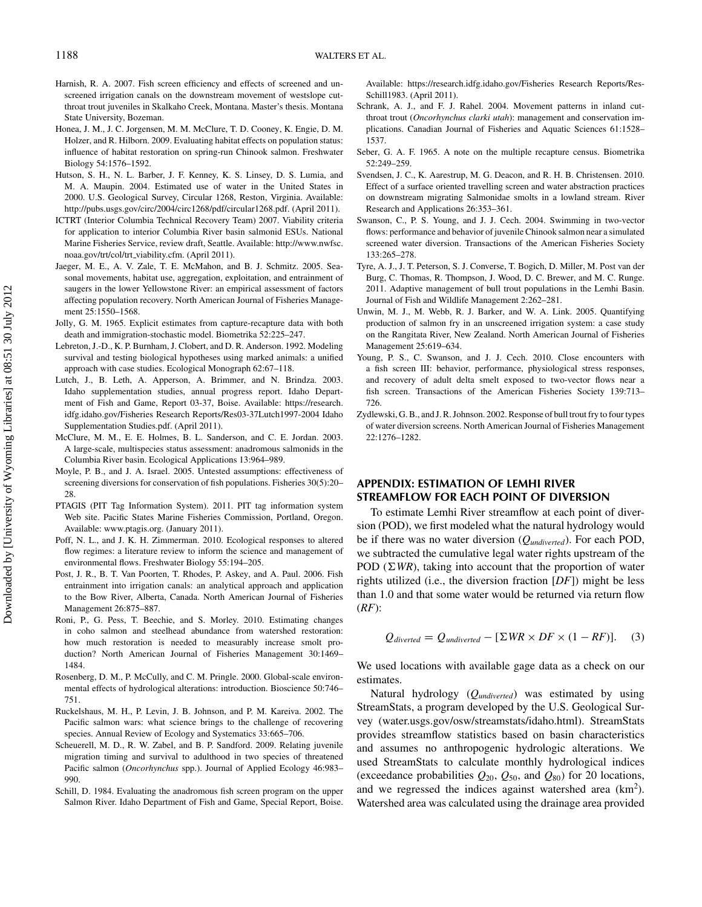- Harnish, R. A. 2007. Fish screen efficiency and effects of screened and unscreened irrigation canals on the downstream movement of westslope cutthroat trout juveniles in Skalkaho Creek, Montana. Master's thesis. Montana State University, Bozeman.
- Honea, J. M., J. C. Jorgensen, M. M. McClure, T. D. Cooney, K. Engie, D. M. Holzer, and R. Hilborn. 2009. Evaluating habitat effects on population status: influence of habitat restoration on spring-run Chinook salmon. Freshwater Biology 54:1576–1592.
- Hutson, S. H., N. L. Barber, J. F. Kenney, K. S. Linsey, D. S. Lumia, and M. A. Maupin. 2004. Estimated use of water in the United States in 2000. U.S. Geological Survey, Circular 1268, Reston, Virginia. Available: http://pubs.usgs.gov/circ/2004/circ1268/pdf/circular1268.pdf. (April 2011).
- ICTRT (Interior Columbia Technical Recovery Team) 2007. Viability criteria for application to interior Columbia River basin salmonid ESUs. National Marine Fisheries Service, review draft, Seattle. Available: http://www.nwfsc. noaa.gov/trt/col/trt\_viability.cfm. (April 2011).
- Jaeger, M. E., A. V. Zale, T. E. McMahon, and B. J. Schmitz. 2005. Seasonal movements, habitat use, aggregation, exploitation, and entrainment of saugers in the lower Yellowstone River: an empirical assessment of factors affecting population recovery. North American Journal of Fisheries Management 25:1550–1568.
- Jolly, G. M. 1965. Explicit estimates from capture-recapture data with both death and immigration-stochastic model. Biometrika 52:225–247.
- Lebreton, J.-D., K. P. Burnham, J. Clobert, and D. R. Anderson. 1992. Modeling survival and testing biological hypotheses using marked animals: a unified approach with case studies. Ecological Monograph 62:67–118.
- Lutch, J., B. Leth, A. Apperson, A. Brimmer, and N. Brindza. 2003. Idaho supplementation studies, annual progress report. Idaho Department of Fish and Game, Report 03-37, Boise. Available: https://research. idfg.idaho.gov/Fisheries Research Reports/Res03-37Lutch1997-2004 Idaho Supplementation Studies.pdf. (April 2011).
- McClure, M. M., E. E. Holmes, B. L. Sanderson, and C. E. Jordan. 2003. A large-scale, multispecies status assessment: anadromous salmonids in the Columbia River basin. Ecological Applications 13:964–989.
- Moyle, P. B., and J. A. Israel. 2005. Untested assumptions: effectiveness of screening diversions for conservation of fish populations. Fisheries 30(5):20– 28.
- PTAGIS (PIT Tag Information System). 2011. PIT tag information system Web site. Pacific States Marine Fisheries Commission, Portland, Oregon. Available: www.ptagis.org. (January 2011).
- Poff, N. L., and J. K. H. Zimmerman. 2010. Ecological responses to altered flow regimes: a literature review to inform the science and management of environmental flows. Freshwater Biology 55:194–205.
- Post, J. R., B. T. Van Poorten, T. Rhodes, P. Askey, and A. Paul. 2006. Fish entrainment into irrigation canals: an analytical approach and application to the Bow River, Alberta, Canada. North American Journal of Fisheries Management 26:875–887.
- Roni, P., G. Pess, T. Beechie, and S. Morley. 2010. Estimating changes in coho salmon and steelhead abundance from watershed restoration: how much restoration is needed to measurably increase smolt production? North American Journal of Fisheries Management 30:1469– 1484.
- Rosenberg, D. M., P. McCully, and C. M. Pringle. 2000. Global-scale environmental effects of hydrological alterations: introduction. Bioscience 50:746– 751.
- Ruckelshaus, M. H., P. Levin, J. B. Johnson, and P. M. Kareiva. 2002. The Pacific salmon wars: what science brings to the challenge of recovering species. Annual Review of Ecology and Systematics 33:665–706.
- Scheuerell, M. D., R. W. Zabel, and B. P. Sandford. 2009. Relating juvenile migration timing and survival to adulthood in two species of threatened Pacific salmon (*Oncorhynchus* spp.). Journal of Applied Ecology 46:983– 990.
- Schill, D. 1984. Evaluating the anadromous fish screen program on the upper Salmon River. Idaho Department of Fish and Game, Special Report, Boise.

Available: https://research.idfg.idaho.gov/Fisheries Research Reports/Res-Schill1983. (April 2011).

- Schrank, A. J., and F. J. Rahel. 2004. Movement patterns in inland cutthroat trout (*Oncorhynchus clarki utah*): management and conservation implications. Canadian Journal of Fisheries and Aquatic Sciences 61:1528– 1537.
- Seber, G. A. F. 1965. A note on the multiple recapture census. Biometrika 52:249–259.
- Svendsen, J. C., K. Aarestrup, M. G. Deacon, and R. H. B. Christensen. 2010. Effect of a surface oriented travelling screen and water abstraction practices on downstream migrating Salmonidae smolts in a lowland stream. River Research and Applications 26:353–361.
- Swanson, C., P. S. Young, and J. J. Cech. 2004. Swimming in two-vector flows: performance and behavior of juvenile Chinook salmon near a simulated screened water diversion. Transactions of the American Fisheries Society 133:265–278.
- Tyre, A. J., J. T. Peterson, S. J. Converse, T. Bogich, D. Miller, M. Post van der Burg, C. Thomas, R. Thompson, J. Wood, D. C. Brewer, and M. C. Runge. 2011. Adaptive management of bull trout populations in the Lemhi Basin. Journal of Fish and Wildlife Management 2:262–281.
- Unwin, M. J., M. Webb, R. J. Barker, and W. A. Link. 2005. Quantifying production of salmon fry in an unscreened irrigation system: a case study on the Rangitata River, New Zealand. North American Journal of Fisheries Management 25:619–634.
- Young, P. S., C. Swanson, and J. J. Cech. 2010. Close encounters with a fish screen III: behavior, performance, physiological stress responses, and recovery of adult delta smelt exposed to two-vector flows near a fish screen. Transactions of the American Fisheries Society 139:713– 726.
- Zydlewski, G. B., and J. R. Johnson. 2002. Response of bull trout fry to four types of water diversion screens. North American Journal of Fisheries Management 22:1276–1282.

#### **APPENDIX: ESTIMATION OF LEMHI RIVER STREAMFLOW FOR EACH POINT OF DIVERSION**

To estimate Lemhi River streamflow at each point of diversion (POD), we first modeled what the natural hydrology would be if there was no water diversion (*Qundiverted*). For each POD, we subtracted the cumulative legal water rights upstream of the POD  $(\Sigma WR)$ , taking into account that the proportion of water rights utilized (i.e., the diversion fraction [*DF*]) might be less than 1.0 and that some water would be returned via return flow (*RF*):

$$
Q_{diverted} = Q_{undiverted} - [\Sigma WR \times DF \times (1 - RF)]. \quad (3)
$$

We used locations with available gage data as a check on our estimates.

Natural hydrology (*Qundiverted*) was estimated by using StreamStats, a program developed by the U.S. Geological Survey (water.usgs.gov/osw/streamstats/idaho.html). StreamStats provides streamflow statistics based on basin characteristics and assumes no anthropogenic hydrologic alterations. We used StreamStats to calculate monthly hydrological indices (exceedance probabilities  $Q_{20}$ ,  $Q_{50}$ , and  $Q_{80}$ ) for 20 locations, and we regressed the indices against watershed area  $(km^2)$ . Watershed area was calculated using the drainage area provided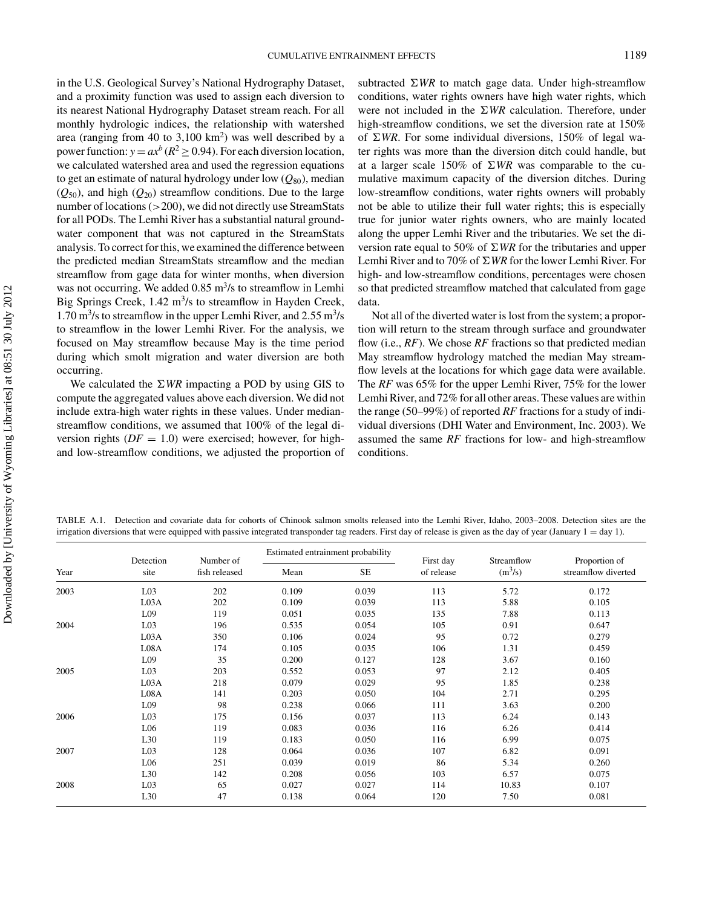in the U.S. Geological Survey's National Hydrography Dataset, and a proximity function was used to assign each diversion to its nearest National Hydrography Dataset stream reach. For all monthly hydrologic indices, the relationship with watershed area (ranging from 40 to  $3,100 \text{ km}^2$ ) was well described by a power function:  $y = ax^b$  ( $R^2 \ge 0.94$ ). For each diversion location, we calculated watershed area and used the regression equations to get an estimate of natural hydrology under low (*Q*80), median  $(Q_{50})$ , and high  $(Q_{20})$  streamflow conditions. Due to the large number of locations (>200), we did not directly use StreamStats for all PODs. The Lemhi River has a substantial natural groundwater component that was not captured in the StreamStats analysis. To correct for this, we examined the difference between the predicted median StreamStats streamflow and the median streamflow from gage data for winter months, when diversion was not occurring. We added  $0.85 \text{ m}^3/\text{s}$  to streamflow in Lemhi Big Springs Creek,  $1.42 \text{ m}^3$ /s to streamflow in Hayden Creek, 1.70 m<sup>3</sup>/s to streamflow in the upper Lemhi River, and  $2.55$  m<sup>3</sup>/s to streamflow in the lower Lemhi River. For the analysis, we focused on May streamflow because May is the time period during which smolt migration and water diversion are both occurring.

We calculated the  $\Sigma WR$  impacting a POD by using GIS to compute the aggregated values above each diversion. We did not include extra-high water rights in these values. Under medianstreamflow conditions, we assumed that 100% of the legal diversion rights  $(DF = 1.0)$  were exercised; however, for highand low-streamflow conditions, we adjusted the proportion of subtracted  $\Sigma WR$  to match gage data. Under high-streamflow conditions, water rights owners have high water rights, which were not included in the  $\Sigma WR$  calculation. Therefore, under high-streamflow conditions, we set the diversion rate at  $150\%$ of  $\Sigma WR$ . For some individual diversions, 150% of legal water rights was more than the diversion ditch could handle, but at a larger scale 150% of  $\Sigma WR$  was comparable to the cumulative maximum capacity of the diversion ditches. During low-streamflow conditions, water rights owners will probably not be able to utilize their full water rights; this is especially true for junior water rights owners, who are mainly located along the upper Lemhi River and the tributaries. We set the diversion rate equal to 50% of  $\Sigma$ *WR* for the tributaries and upper Lemhi River and to 70% of  $\Sigma$ *WR* for the lower Lemhi River. For high- and low-streamflow conditions, percentages were chosen so that predicted streamflow matched that calculated from gage data.

Not all of the diverted water is lost from the system; a proportion will return to the stream through surface and groundwater flow (i.e., *RF*). We chose *RF* fractions so that predicted median May streamflow hydrology matched the median May streamflow levels at the locations for which gage data were available. The *RF* was 65% for the upper Lemhi River, 75% for the lower Lemhi River, and 72% for all other areas. These values are within the range (50–99%) of reported *RF* fractions for a study of individual diversions (DHI Water and Environment, Inc. 2003). We assumed the same *RF* fractions for low- and high-streamflow conditions.

TABLE A.1. Detection and covariate data for cohorts of Chinook salmon smolts released into the Lemhi River, Idaho, 2003–2008. Detection sites are the irrigation diversions that were equipped with passive integrated transponder tag readers. First day of release is given as the day of year (January  $1 = day 1$ ).

| Year | Detection<br>site | Number of<br>fish released | Estimated entrainment probability |           | First day  | Streamflow          | Proportion of       |
|------|-------------------|----------------------------|-----------------------------------|-----------|------------|---------------------|---------------------|
|      |                   |                            | Mean                              | <b>SE</b> | of release | (m <sup>3</sup> /s) | streamflow diverted |
| 2003 | L <sub>03</sub>   | 202                        | 0.109                             | 0.039     | 113        | 5.72                | 0.172               |
|      | L <sub>03A</sub>  | 202                        | 0.109                             | 0.039     | 113        | 5.88                | 0.105               |
|      | L09               | 119                        | 0.051                             | 0.035     | 135        | 7.88                | 0.113               |
| 2004 | L <sub>03</sub>   | 196                        | 0.535                             | 0.054     | 105        | 0.91                | 0.647               |
|      | L <sub>03A</sub>  | 350                        | 0.106                             | 0.024     | 95         | 0.72                | 0.279               |
|      | L <sub>08A</sub>  | 174                        | 0.105                             | 0.035     | 106        | 1.31                | 0.459               |
|      | L09               | 35                         | 0.200                             | 0.127     | 128        | 3.67                | 0.160               |
| 2005 | L <sub>03</sub>   | 203                        | 0.552                             | 0.053     | 97         | 2.12                | 0.405               |
|      | L <sub>03A</sub>  | 218                        | 0.079                             | 0.029     | 95         | 1.85                | 0.238               |
|      | L <sub>08A</sub>  | 141                        | 0.203                             | 0.050     | 104        | 2.71                | 0.295               |
|      | L09               | 98                         | 0.238                             | 0.066     | 111        | 3.63                | 0.200               |
| 2006 | L <sub>03</sub>   | 175                        | 0.156                             | 0.037     | 113        | 6.24                | 0.143               |
|      | L <sub>06</sub>   | 119                        | 0.083                             | 0.036     | 116        | 6.26                | 0.414               |
|      | L30               | 119                        | 0.183                             | 0.050     | 116        | 6.99                | 0.075               |
| 2007 | L <sub>03</sub>   | 128                        | 0.064                             | 0.036     | 107        | 6.82                | 0.091               |
|      | L06               | 251                        | 0.039                             | 0.019     | 86         | 5.34                | 0.260               |
|      | L30               | 142                        | 0.208                             | 0.056     | 103        | 6.57                | 0.075               |
| 2008 | L <sub>03</sub>   | 65                         | 0.027                             | 0.027     | 114        | 10.83               | 0.107               |
|      | L30               | 47                         | 0.138                             | 0.064     | 120        | 7.50                | 0.081               |